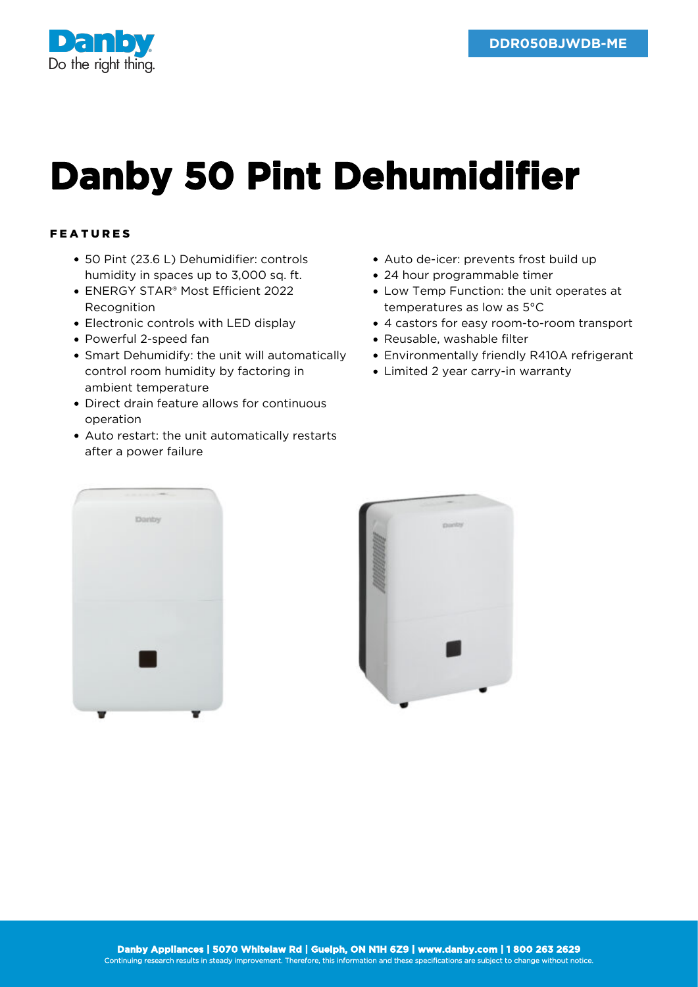

## **Danby 50 Pint Dehumidifier**

## FEATURES

- 50 Pint (23.6 L) Dehumidifier: controls humidity in spaces up to 3,000 sq. ft.
- ENERGY STAR® Most Efficient 2022 **Recognition**
- Electronic controls with LED display
- Powerful 2-speed fan
- Smart Dehumidify: the unit will automatically control room humidity by factoring in ambient temperature
- Direct drain feature allows for continuous operation
- Auto restart: the unit automatically restarts after a power failure
- Auto de-icer: prevents frost build up
- 24 hour programmable timer
- Low Temp Function: the unit operates at temperatures as low as 5°C
- 4 castors for easy room-to-room transport
- Reusable, washable filter
- Environmentally friendly R410A refrigerant
- Limited 2 year carry-in warranty